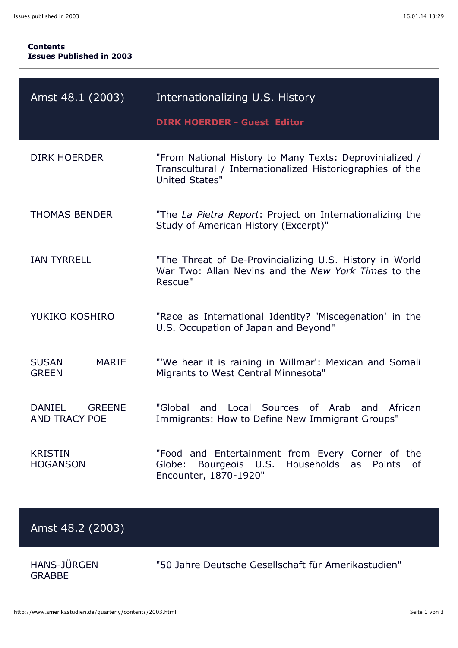## **Contents Issues Published in 2003**

| Amst 48.1 (2003)                                       | Internationalizing U.S. History<br><b>DIRK HOERDER - Guest Editor</b>                                                                               |
|--------------------------------------------------------|-----------------------------------------------------------------------------------------------------------------------------------------------------|
| <b>DIRK HOERDER</b>                                    | "From National History to Many Texts: Deprovinialized /<br>Transcultural / Internationalized Historiographies of the<br><b>United States"</b>       |
| <b>THOMAS BENDER</b>                                   | "The La Pietra Report: Project on Internationalizing the<br>Study of American History (Excerpt)"                                                    |
| <b>IAN TYRRELL</b>                                     | "The Threat of De-Provincializing U.S. History in World<br>War Two: Allan Nevins and the New York Times to the<br>Rescue"                           |
| YUKIKO KOSHIRO                                         | "Race as International Identity? 'Miscegenation' in the<br>U.S. Occupation of Japan and Beyond"                                                     |
| <b>SUSAN</b><br><b>MARIE</b><br><b>GREEN</b>           | "'We hear it is raining in Willmar': Mexican and Somali<br>Migrants to West Central Minnesota"                                                      |
| <b>DANIEL</b><br><b>GREENE</b><br><b>AND TRACY POE</b> | "Global<br>Local Sources of Arab<br>and<br>African<br>and<br>Immigrants: How to Define New Immigrant Groups"                                        |
| <b>KRISTIN</b><br><b>HOGANSON</b>                      | "Food and Entertainment from Every Corner of the<br>Globe:<br>Bourgeois<br>U.S.<br>Households<br>as<br><b>Points</b><br>οf<br>Encounter, 1870-1920" |

## Amst 48.2 (2003)

HANS-JÜRGEN GRABBE

"50 Jahre Deutsche Gesellschaft für Amerikastudien"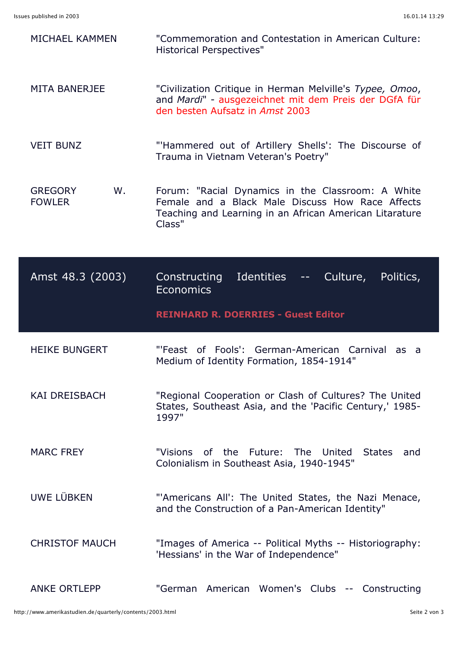| MICHAEL KAMMEN                        | "Commemoration and Contestation in American Culture:<br><b>Historical Perspectives"</b>                                                                                                                                                                                                                                                                                                                                                                                        |
|---------------------------------------|--------------------------------------------------------------------------------------------------------------------------------------------------------------------------------------------------------------------------------------------------------------------------------------------------------------------------------------------------------------------------------------------------------------------------------------------------------------------------------|
| <b>MITA BANERJEE</b>                  | "Civilization Critique in Herman Melville's Typee, Omoo,<br>and Mardi" - ausgezeichnet mit dem Preis der DGfA für<br>den besten Aufsatz in Amst 2003                                                                                                                                                                                                                                                                                                                           |
| <b>VEIT BUNZ</b>                      | "Hammered out of Artillery Shells': The Discourse of<br>Trauma in Vietnam Veteran's Poetry"                                                                                                                                                                                                                                                                                                                                                                                    |
| <b>GREGORY</b><br>W.<br><b>FOWLER</b> | Forum: "Racial Dynamics in the Classroom: A White<br>Female and a Black Male Discuss How Race Affects<br>Teaching and Learning in an African American Litarature<br>Class"                                                                                                                                                                                                                                                                                                     |
| Amst 48.3 (2003)                      | Identities<br>Culture,<br><b>Constructing</b><br>Politics,<br>$\frac{1}{2} \frac{1}{2} \frac{1}{2} \frac{1}{2} \frac{1}{2} \frac{1}{2} \frac{1}{2} \frac{1}{2} \frac{1}{2} \frac{1}{2} \frac{1}{2} \frac{1}{2} \frac{1}{2} \frac{1}{2} \frac{1}{2} \frac{1}{2} \frac{1}{2} \frac{1}{2} \frac{1}{2} \frac{1}{2} \frac{1}{2} \frac{1}{2} \frac{1}{2} \frac{1}{2} \frac{1}{2} \frac{1}{2} \frac{1}{2} \frac{1}{2} \frac{1}{2} \frac{1}{2} \frac{1}{2} \frac{$<br><b>Economics</b> |
|                                       |                                                                                                                                                                                                                                                                                                                                                                                                                                                                                |
|                                       | <b>REINHARD R. DOERRIES - Guest Editor</b>                                                                                                                                                                                                                                                                                                                                                                                                                                     |
| <b>HEIKE BUNGERT</b>                  | "'Feast of Fools': German-American Carnival as a<br>Medium of Identity Formation, 1854-1914"                                                                                                                                                                                                                                                                                                                                                                                   |
| <b>KAI DREISBACH</b>                  | "Regional Cooperation or Clash of Cultures? The United<br>States, Southeast Asia, and the 'Pacific Century,' 1985-<br>1997"                                                                                                                                                                                                                                                                                                                                                    |
| <b>MARC FREY</b>                      | "Visions of the Future: The United<br>States<br>and<br>Colonialism in Southeast Asia, 1940-1945"                                                                                                                                                                                                                                                                                                                                                                               |
| UWE LÜBKEN                            | "'Americans All': The United States, the Nazi Menace,<br>and the Construction of a Pan-American Identity"                                                                                                                                                                                                                                                                                                                                                                      |
| <b>CHRISTOF MAUCH</b>                 | "Images of America -- Political Myths -- Historiography:<br>'Hessians' in the War of Independence"                                                                                                                                                                                                                                                                                                                                                                             |